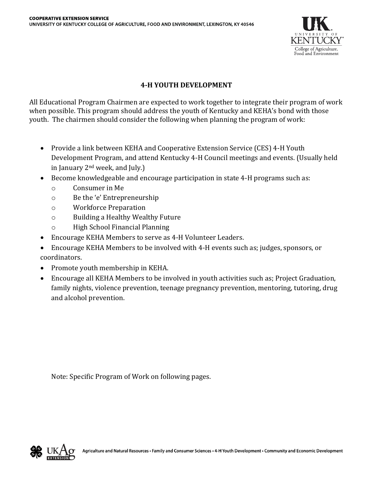

#### **4‐H YOUTH DEVELOPMENT**

All Educational Program Chairmen are expected to work together to integrate their program of work when possible. This program should address the youth of Kentucky and KEHA's bond with those youth. The chairmen should consider the following when planning the program of work:

- Provide a link between KEHA and Cooperative Extension Service (CES) 4-H Youth Development Program, and attend Kentucky 4-H Council meetings and events. (Usually held in January 2nd week, and July.)
- Become knowledgeable and encourage participation in state 4-H programs such as:
	- o Consumer in Me
	- o Be the 'e' Entrepreneurship
	- o Workforce Preparation
	- o Building a Healthy Wealthy Future
	- o High School Financial Planning
- Encourage KEHA Members to serve as 4-H Volunteer Leaders.
- Encourage KEHA Members to be involved with 4-H events such as; judges, sponsors, or coordinators.
- Promote youth membership in KEHA.
- Encourage all KEHA Members to be involved in youth activities such as; Project Graduation, family nights, violence prevention, teenage pregnancy prevention, mentoring, tutoring, drug and alcohol prevention.

Note: Specific Program of Work on following pages.

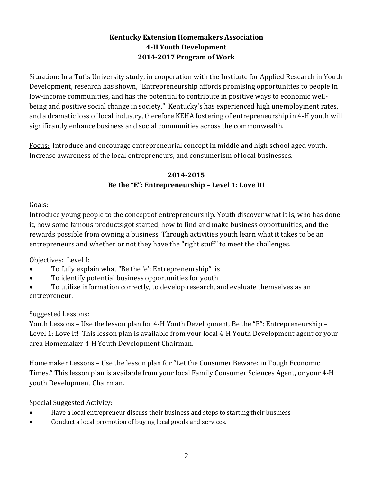## **Kentucky Extension Homemakers Association 4-H Youth Development 2014-2017 Program of Work**

Situation: In a Tufts University study, in cooperation with the Institute for Applied Research in Youth Development, research has shown, "Entrepreneurship affords promising opportunities to people in low-income communities, and has the potential to contribute in positive ways to economic wellbeing and positive social change in society." Kentucky's has experienced high unemployment rates, and a dramatic loss of local industry, therefore KEHA fostering of entrepreneurship in 4-H youth will significantly enhance business and social communities across the commonwealth.

Focus: Introduce and encourage entrepreneurial concept in middle and high school aged youth. Increase awareness of the local entrepreneurs, and consumerism of local businesses.

## **2014-2015 Be the "E": Entrepreneurship – Level 1: Love It!**

Goals:

Introduce young people to the concept of entrepreneurship. Youth discover what it is, who has done it, how some famous products got started, how to find and make business opportunities, and the rewards possible from owning a business. Through activities youth learn what it takes to be an entrepreneurs and whether or not they have the "right stuff" to meet the challenges.

Objectives: Level I:

- To fully explain what "Be the 'e': Entrepreneurship" is
- To identify potential business opportunities for youth
- To utilize information correctly, to develop research, and evaluate themselves as an entrepreneur.

# Suggested Lessons:

Youth Lessons – Use the lesson plan for 4-H Youth Development, Be the "E": Entrepreneurship – Level 1: Love It! This lesson plan is available from your local 4-H Youth Development agent or your area Homemaker 4-H Youth Development Chairman.

Homemaker Lessons – Use the lesson plan for "Let the Consumer Beware: in Tough Economic Times." This lesson plan is available from your local Family Consumer Sciences Agent, or your 4-H youth Development Chairman.

Special Suggested Activity:

- Have a local entrepreneur discuss their business and steps to starting their business
- Conduct a local promotion of buying local goods and services.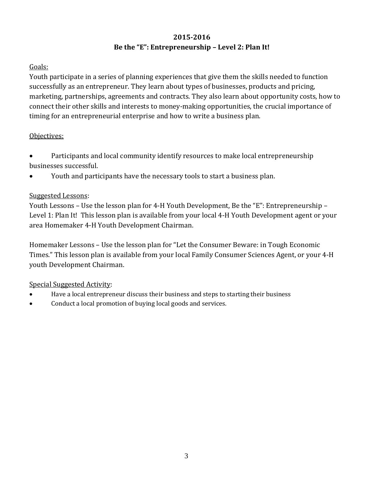# **2015-2016 Be the "E": Entrepreneurship – Level 2: Plan It!**

### Goals:

Youth participate in a series of planning experiences that give them the skills needed to function successfully as an entrepreneur. They learn about types of businesses, products and pricing, marketing, partnerships, agreements and contracts. They also learn about opportunity costs, how to connect their other skills and interests to money-making opportunities, the crucial importance of timing for an entrepreneurial enterprise and how to write a business plan.

#### Objectives:

 Participants and local community identify resources to make local entrepreneurship businesses successful.

Youth and participants have the necessary tools to start a business plan.

## Suggested Lessons:

Youth Lessons – Use the lesson plan for 4-H Youth Development, Be the "E": Entrepreneurship – Level 1: Plan It! This lesson plan is available from your local 4-H Youth Development agent or your area Homemaker 4-H Youth Development Chairman.

Homemaker Lessons – Use the lesson plan for "Let the Consumer Beware: in Tough Economic Times." This lesson plan is available from your local Family Consumer Sciences Agent, or your 4-H youth Development Chairman.

## Special Suggested Activity:

- Have a local entrepreneur discuss their business and steps to starting their business
- Conduct a local promotion of buying local goods and services.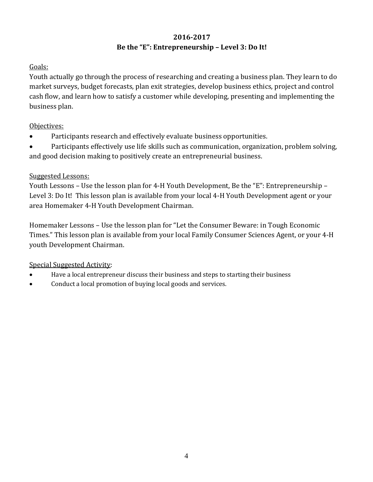# **2016-2017 Be the "E": Entrepreneurship – Level 3: Do It!**

### Goals:

Youth actually go through the process of researching and creating a business plan. They learn to do market surveys, budget forecasts, plan exit strategies, develop business ethics, project and control cash flow, and learn how to satisfy a customer while developing, presenting and implementing the business plan.

#### Objectives:

- Participants research and effectively evaluate business opportunities.
- Participants effectively use life skills such as communication, organization, problem solving, and good decision making to positively create an entrepreneurial business.

#### Suggested Lessons:

Youth Lessons – Use the lesson plan for 4-H Youth Development, Be the "E": Entrepreneurship – Level 3: Do It! This lesson plan is available from your local 4-H Youth Development agent or your area Homemaker 4-H Youth Development Chairman.

Homemaker Lessons – Use the lesson plan for "Let the Consumer Beware: in Tough Economic Times." This lesson plan is available from your local Family Consumer Sciences Agent, or your 4-H youth Development Chairman.

## Special Suggested Activity:

- Have a local entrepreneur discuss their business and steps to starting their business
- Conduct a local promotion of buying local goods and services.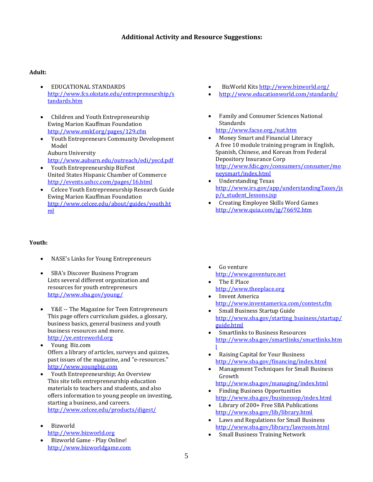#### **Additional Activity and Resource Suggestions:**

#### **Adult:**

- EDUCATIONAL STANDARDS [http://www.fcs.okstate.edu/entrepreneurship/s](http://www.fcs.okstate.edu/entrepreneurship/standards.htm) [tandards.htm](http://www.fcs.okstate.edu/entrepreneurship/standards.htm)
- Children and Youth Entrepreneurship Ewing Marion Kauffman Foundation <http://www.emkf.org/pages/129.cfm>
- Youth Entrepreneurs Community Development Model Auburn University
- <http://www.auburn.edu/outreach/edi/yecd.pdf> Youth Entrepreneurship BizFest United States Hispanic Chamber of Commerce <http://events.ushcc.com/pages/16.html>
- Celcee Youth Entrepreneurship Research Guide Ewing Marion Kauffman Foundation [http://www.celcee.edu/about/guides/youth.ht](http://www.celcee.edu/about/guides/youth.html) [ml](http://www.celcee.edu/about/guides/youth.html)

#### **Youth:**

- NASE's Links for Young Entrepreneurs
- SBA's Discover Business Program Lists several different organization and resources for youth entrepreneurs <http://www.sba.gov/young/>
- Y&E -- The Magazine for Teen Entrepreneurs This page offers curriculum guides, a glossary, business basics, general business and youth business resources and more. [http://ye.entreworld.org](http://ye.entreworld.org/)
- Young Biz.com Offers a library of articles, surveys and quizzes, past issues of the magazine, and "e-resources." [http://www.youngbiz.com](http://www.youngbiz.com/)
- Youth Entrepreneurship; An Overview This site tells entrepreneurship education materials to teachers and students, and also offers information to young people on investing, starting a business, and careers. <http://www.celcee.edu/products/digest/>
- Bizworld [http://www.bizworld.org](http://www.goventure.net/)
- Bizworld Game Play Online! [http://www.bizworldgame.com](http://www.theeplace.org/)
- BizWorld Kits<http://www.bizworld.org/>
- <http://www.educationworld.com/standards/>
- Family and Consumer Sciences National Standards
	- <http://www.facse.org./nat.htm>
- Money Smart and Financial Literacy A free 10 module training program in English, Spanish, Chinese, and Korean from Federal Depository Insurance Corp [http://www.fdic.gov/consumers/consumer/mo](http://www.fdic.gov/consumers/consumer/moneysmart/index.html) [neysmart/index.html](http://www.fdic.gov/consumers/consumer/moneysmart/index.html)
- Understanding Texas [http://www.irs.gov/app/understandingTaxes/js](http://www.irs.gov/app/understandingTaxes/jsp/s_student_lessons.jsp) [p/s\\_student\\_lessons.jsp](http://www.irs.gov/app/understandingTaxes/jsp/s_student_lessons.jsp)
- Creating Employee Skills Word Games [http://www.quia.com/jg/76692.htm](http://www.quia.com/jg/76692.html)

- Go venture [http://www.goventure.net](http://www.goventure.net/)
- The E Place [http://www.theeplace.org](http://www.theeplace.org/)
- Invent America <http://www.inventamerica.com/contest.cfm>
- Small Business Startup Guide [http://www.sba.gov/starting\\_business/startup/](http://www.sba.gov/starting_business/startup/guide.html) [guide.html](http://www.sba.gov/starting_business/startup/guide.html)
- Smartlinks to Business Resources [http://www.sba.gov/smartlinks/smartlinks.htm](http://www.sba.gov/smartlinks/smartlinks.html) [l](http://www.sba.gov/smartlinks/smartlinks.html)
- Raising Capital for Your Business <http://www.sba.gov/financing/index.html>
- Management Techniques for Small Business Growth
- <http://www.sba.gov/managing/index.html> Finding Business Opportunities
- <http://www.sba.gov/businessop/index.html>
- Library of 200+ Free SBA Publications <http://www.sba.gov/lib/library.html>
- Laws and Regulations for Small Business <http://www.sba.gov/library/lawroom.html>
- Small Business Training Network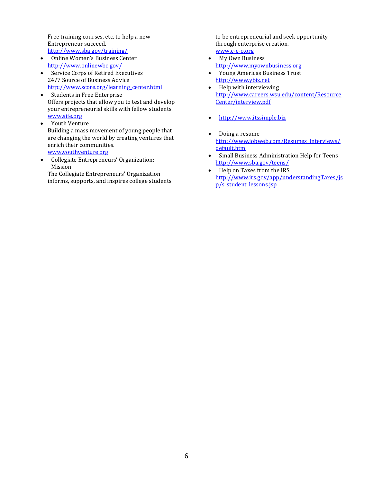Free training courses, etc. to help a new Entrepreneur succeed. <http://www.sba.gov/training/>

- Online Women's Business Center <http://www.onlinewbc.gov/>
- Service Corps of Retired Executives 24/7 Source of Business Advice [http://www.score.org/learning\\_center.html](http://www.score.org/learning_center.html)
- Students in Free Enterprise Offers projects that allow you to test and develop your entrepreneurial skills with fellow students. [www.sife.org](http://www.sife.org/)
- Youth Venture Building a mass movement of young people that are changing the world by creating ventures that enrich their communities. [www.youthventure.org](http://www.youthventure.org/)
- Collegiate Entrepreneurs' Organization: Mission

The Collegiate Entrepreneurs' Organization informs, supports, and inspires college students to be entrepreneurial and seek opportunity through enterprise creation. [www.c-e-o.org](http://www.c-e-o.org/)

- My Own Business [http://www.myownbusiness.org](http://www.myownbusiness.org/)
- Young Americas Business Trust [http://www.ybiz.net](http://www.ybiz.net/)
- Help with interviewing [http://www.careers.wsu.edu/content/Resource](http://www.careers.wsu.edu/content/ResourceCenter/interview.pdf) [Center/interview.pdf](http://www.careers.wsu.edu/content/ResourceCenter/interview.pdf)
- [http://www.itssimple.biz](http://www.itssimple.biz/)
- Doing a resume [http://www.jobweb.com/Resumes\\_Interviews/](http://www.jobweb.com/Resumes_Interviews/default.htm) [default.htm](http://www.jobweb.com/Resumes_Interviews/default.htm)
- Small Business Administration Help for Teens <http://www.sba.gov/teens/>
- Help on Taxes from the IRS [http://www.irs.gov/app/understandingTaxes/js](http://www.irs.gov/app/understandingTaxes/jsp/s_student_lessons.jsp) [p/s\\_student\\_lessons.jsp](http://www.irs.gov/app/understandingTaxes/jsp/s_student_lessons.jsp)